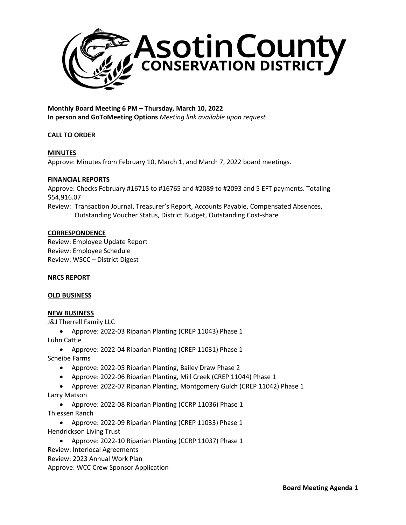

**Monthly Board Meeting 6 PM – Thursday, March 10, 2022 In person and GoToMeeting Options** *Meeting link available upon request*

# **CALL TO ORDER**

# **MINUTES**

Approve: Minutes from February 10, March 1, and March 7, 2022 board meetings.

#### **FINANCIAL REPORTS**

Approve: Checks February #16715 to #16765 and #2089 to #2093 and 5 EFT payments. Totaling \$54,916.07

Review: Transaction Journal, Treasurer's Report, Accounts Payable, Compensated Absences, Outstanding Voucher Status, District Budget, Outstanding Cost-share

### **CORRESPONDENCE**

Review: Employee Update Report Review: Employee Schedule Review: WSCC – District Digest

#### **NRCS REPORT**

#### **OLD BUSINESS**

# **NEW BUSINESS**

J&J Therrell Family LLC

• Approve: 2022-03 Riparian Planting (CREP 11043) Phase 1

Luhn Cattle

• Approve: 2022-04 Riparian Planting (CREP 11031) Phase 1

Scheibe Farms

- Approve: 2022-05 Riparian Planting, Bailey Draw Phase 2
- Approve: 2022-06 Riparian Planting, Mill Creek (CREP 11044) Phase 1
- Approve: 2022-07 Riparian Planting, Montgomery Gulch (CREP 11042) Phase 1 Larry Matson
	- Approve: 2022-08 Riparian Planting (CCRP 11036) Phase 1

Thiessen Ranch

- Approve: 2022-09 Riparian Planting (CREP 11033) Phase 1 Hendrickson Living Trust
	- Approve: 2022-10 Riparian Planting (CCRP 11037) Phase 1

Review: Interlocal Agreements

Review: 2023 Annual Work Plan

Approve: WCC Crew Sponsor Application